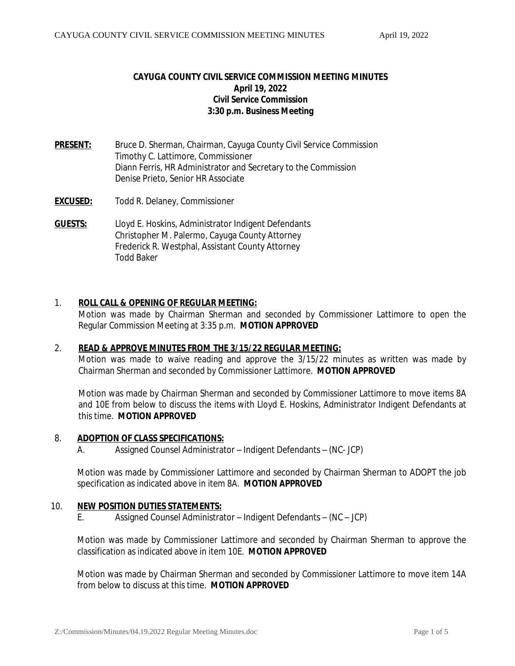# **CAYUGA COUNTY CIVIL SERVICE COMMISSION MEETING MINUTES April 19, 2022 Civil Service Commission 3:30 p.m. Business Meeting**

- **PRESENT:** Bruce D. Sherman, Chairman, Cayuga County Civil Service Commission Timothy C. Lattimore, Commissioner Diann Ferris, HR Administrator and Secretary to the Commission Denise Prieto, Senior HR Associate
- **EXCUSED:** Todd R. Delaney, Commissioner
- **GUESTS:** Lloyd E. Hoskins, Administrator Indigent Defendants Christopher M. Palermo, Cayuga County Attorney Frederick R. Westphal, Assistant County Attorney Todd Baker

## 1. **ROLL CALL & OPENING OF REGULAR MEETING:**

Motion was made by Chairman Sherman and seconded by Commissioner Lattimore to open the Regular Commission Meeting at 3:35 p.m. *MOTION APPROVED*

## 2. **READ & APPROVE MINUTES FROM THE 3/15/22 REGULAR MEETING:**

Motion was made to waive reading and approve the 3/15/22 minutes as written was made by Chairman Sherman and seconded by Commissioner Lattimore. *MOTION APPROVED*

Motion was made by Chairman Sherman and seconded by Commissioner Lattimore to move items 8A and 10E from below to discuss the items with Lloyd E. Hoskins, Administrator Indigent Defendants at this time. *MOTION APPROVED*

#### 8. **ADOPTION OF CLASS SPECIFICATIONS:**

A. Assigned Counsel Administrator – Indigent Defendants – (NC- JCP)

Motion was made by Commissioner Lattimore and seconded by Chairman Sherman to ADOPT the job specification as indicated above in item 8A. *MOTION APPROVED*

## 10. **NEW POSITION DUTIES STATEMENTS:**

E. Assigned Counsel Administrator – Indigent Defendants – (NC – JCP)

Motion was made by Commissioner Lattimore and seconded by Chairman Sherman to approve the classification as indicated above in item 10E. *MOTION APPROVED*

Motion was made by Chairman Sherman and seconded by Commissioner Lattimore to move item 14A from below to discuss at this time. *MOTION APPROVED*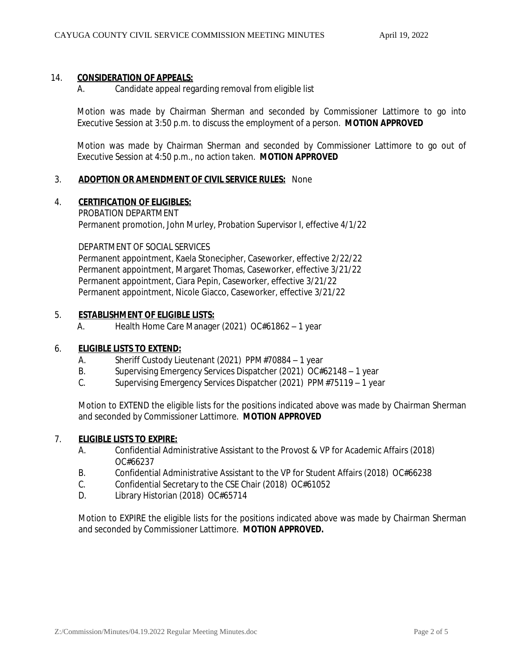## 14. **CONSIDERATION OF APPEALS:**

A. Candidate appeal regarding removal from eligible list

Motion was made by Chairman Sherman and seconded by Commissioner Lattimore to go into Executive Session at 3:50 p.m. to discuss the employment of a person. *MOTION APPROVED*

Motion was made by Chairman Sherman and seconded by Commissioner Lattimore to go out of Executive Session at 4:50 p.m., no action taken. *MOTION APPROVED*

#### 3. **ADOPTION OR AMENDMENT OF CIVIL SERVICE RULES:** None

#### 4. **CERTIFICATION OF ELIGIBLES:**

PROBATION DEPARTMENT Permanent promotion, John Murley, Probation Supervisor I, effective 4/1/22

DEPARTMENT OF SOCIAL SERVICES

Permanent appointment, Kaela Stonecipher, Caseworker, effective 2/22/22 Permanent appointment, Margaret Thomas, Caseworker, effective 3/21/22 Permanent appointment, Ciara Pepin, Caseworker, effective 3/21/22 Permanent appointment, Nicole Giacco, Caseworker, effective 3/21/22

## 5. **ESTABLISHMENT OF ELIGIBLE LISTS:**

A. Health Home Care Manager (2021) OC#61862 – 1 year

## 6. **ELIGIBLE LISTS TO EXTEND:**

- A. Sheriff Custody Lieutenant (2021) PPM#70884 1 year
- B. Supervising Emergency Services Dispatcher (2021) OC#62148 1 year
- C. Supervising Emergency Services Dispatcher (2021) PPM#75119 1 year

Motion to EXTEND the eligible lists for the positions indicated above was made by Chairman Sherman and seconded by Commissioner Lattimore. *MOTION APPROVED*

#### 7. **ELIGIBLE LISTS TO EXPIRE:**

- A. Confidential Administrative Assistant to the Provost & VP for Academic Affairs (2018) OC#66237
- B. Confidential Administrative Assistant to the VP for Student Affairs (2018) OC#66238
- C. Confidential Secretary to the CSE Chair (2018) OC#61052
- D. Library Historian (2018) OC#65714

Motion to EXPIRE the eligible lists for the positions indicated above was made by Chairman Sherman and seconded by Commissioner Lattimore. *MOTION APPROVED.*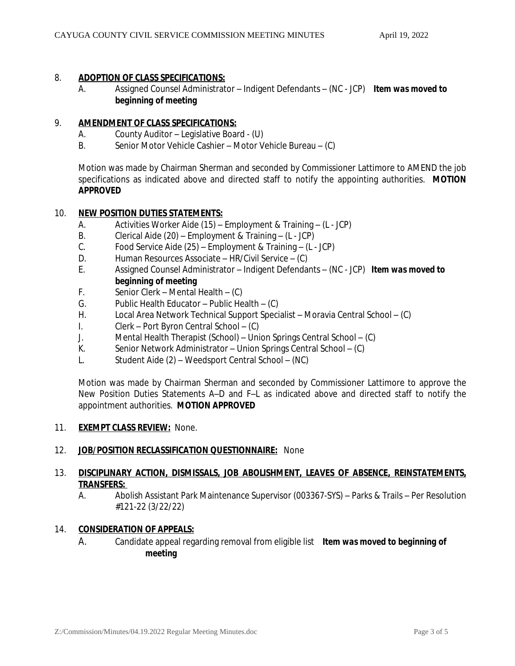## 8. **ADOPTION OF CLASS SPECIFICATIONS:**

A. Assigned Counsel Administrator – Indigent Defendants – (NC - JCP) *Item was moved to beginning of meeting*

## 9. **AMENDMENT OF CLASS SPECIFICATIONS:**

- A. County Auditor Legislative Board (U)
- B. Senior Motor Vehicle Cashier Motor Vehicle Bureau (C)

Motion was made by Chairman Sherman and seconded by Commissioner Lattimore to AMEND the job specifications as indicated above and directed staff to notify the appointing authorities. *MOTION APPROVED*

## 10. **NEW POSITION DUTIES STATEMENTS:**

- A. Activities Worker Aide (15) Employment & Training (L JCP)
- B. Clerical Aide (20) Employment & Training (L JCP)
- C. Food Service Aide (25) Employment & Training (L JCP)
- D. Human Resources Associate HR/Civil Service (C)
- E. Assigned Counsel Administrator Indigent Defendants (NC JCP) *Item was moved to beginning of meeting*
- F. Senior Clerk Mental Health (C)
- G. Public Health Educator Public Health (C)<br>H. Local Area Network Technical Support Speci
- Local Area Network Technical Support Specialist Moravia Central School (C)
- I. Clerk Port Byron Central School (C)
- J. Mental Health Therapist (School) Union Springs Central School (C)
- K. Senior Network Administrator Union Springs Central School (C)
- L. Student Aide (2) Weedsport Central School (NC)

Motion was made by Chairman Sherman and seconded by Commissioner Lattimore to approve the New Position Duties Statements A–D and F–L as indicated above and directed staff to notify the appointment authorities. *MOTION APPROVED*

## 11. **EXEMPT CLASS REVIEW:** None.

## 12. **JOB/POSITION RECLASSIFICATION QUESTIONNAIRE:** None

# 13. **DISCIPLINARY ACTION, DISMISSALS, JOB ABOLISHMENT, LEAVES OF ABSENCE, REINSTATEMENTS, TRANSFERS:**

A. Abolish Assistant Park Maintenance Supervisor (003367-SYS) – Parks & Trails – Per Resolution #121-22 (3/22/22)

## 14. **CONSIDERATION OF APPEALS:**

A. Candidate appeal regarding removal from eligible list *Item was moved to beginning of meeting*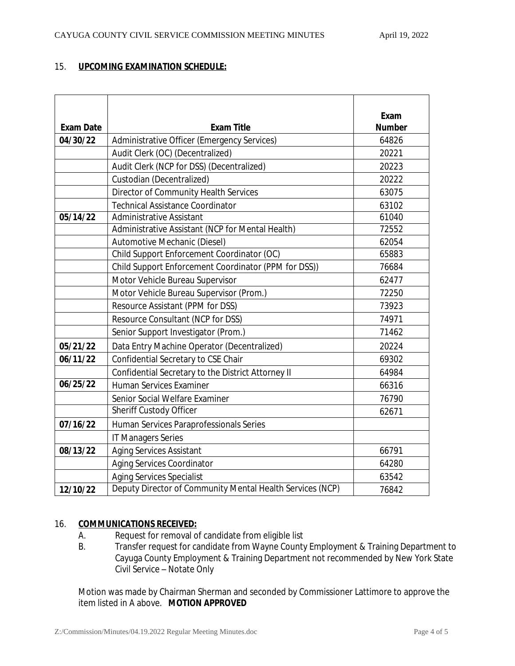# 15. **UPCOMING EXAMINATION SCHEDULE:**

| <b>Exam Date</b> | <b>Exam Title</b>                                         | Exam<br><b>Number</b> |
|------------------|-----------------------------------------------------------|-----------------------|
| 04/30/22         | Administrative Officer (Emergency Services)               | 64826                 |
|                  | Audit Clerk (OC) (Decentralized)                          | 20221                 |
|                  | Audit Clerk (NCP for DSS) (Decentralized)                 | 20223                 |
|                  | Custodian (Decentralized)                                 | 20222                 |
|                  | Director of Community Health Services                     | 63075                 |
|                  | <b>Technical Assistance Coordinator</b>                   | 63102                 |
| 05/14/22         | <b>Administrative Assistant</b>                           | 61040                 |
|                  | Administrative Assistant (NCP for Mental Health)          | 72552                 |
|                  | Automotive Mechanic (Diesel)                              | 62054                 |
|                  | Child Support Enforcement Coordinator (OC)                | 65883                 |
|                  | Child Support Enforcement Coordinator (PPM for DSS))      | 76684                 |
|                  | Motor Vehicle Bureau Supervisor                           | 62477                 |
|                  | Motor Vehicle Bureau Supervisor (Prom.)                   | 72250                 |
|                  | Resource Assistant (PPM for DSS)                          | 73923                 |
|                  | Resource Consultant (NCP for DSS)                         | 74971                 |
|                  | Senior Support Investigator (Prom.)                       | 71462                 |
| 05/21/22         | Data Entry Machine Operator (Decentralized)               | 20224                 |
| 06/11/22         | Confidential Secretary to CSE Chair                       | 69302                 |
|                  | Confidential Secretary to the District Attorney II        | 64984                 |
| 06/25/22         | <b>Human Services Examiner</b>                            | 66316                 |
|                  | Senior Social Welfare Examiner                            | 76790                 |
|                  | Sheriff Custody Officer                                   | 62671                 |
| 07/16/22         | Human Services Paraprofessionals Series                   |                       |
|                  | <b>IT Managers Series</b>                                 |                       |
| 08/13/22         | <b>Aging Services Assistant</b>                           | 66791                 |
|                  | <b>Aging Services Coordinator</b>                         | 64280                 |
|                  | <b>Aging Services Specialist</b>                          | 63542                 |
| 12/10/22         | Deputy Director of Community Mental Health Services (NCP) | 76842                 |

## 16. **COMMUNICATIONS RECEIVED:**

- A. Request for removal of candidate from eligible list
- B. Transfer request for candidate from Wayne County Employment & Training Department to Cayuga County Employment & Training Department not recommended by New York State Civil Service – Notate Only

Motion was made by Chairman Sherman and seconded by Commissioner Lattimore to approve the item listed in A above. *MOTION APPROVED*